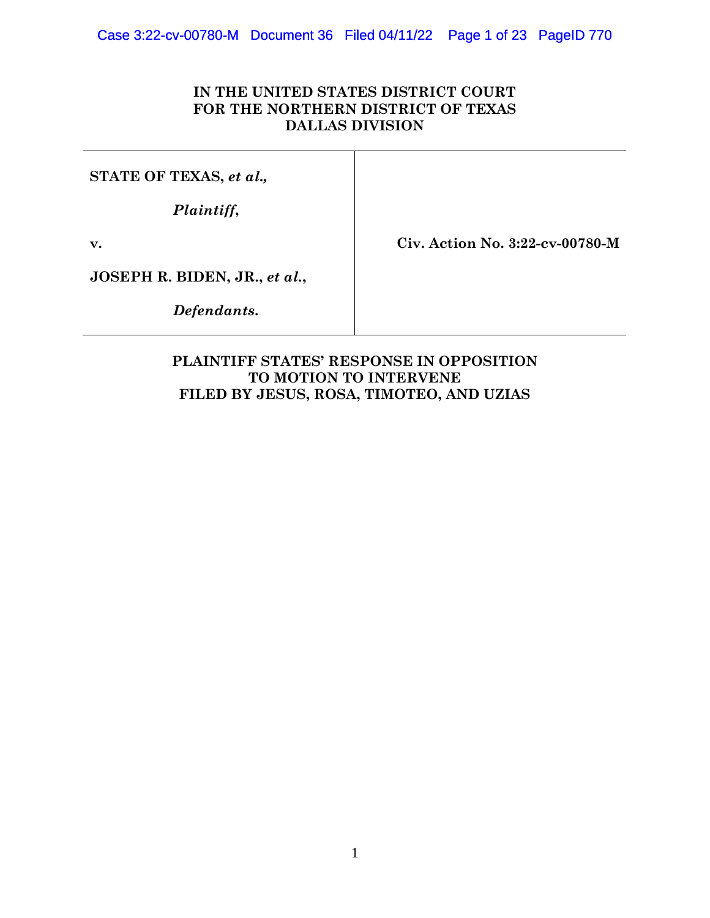## **IN THE UNITED STATES DISTRICT COURT FOR THE NORTHERN DISTRICT OF TEXAS DALLAS DIVISION**

**STATE OF TEXAS,** *et al.,*

*Plaintiff***,**

**v.**

**Civ. Action No. 3:22-cv-00780-M**

**JOSEPH R. BIDEN, JR.,** *et al.***,**

*Defendants***.**

## **PLAINTIFF STATES' RESPONSE IN OPPOSITION TO MOTION TO INTERVENE FILED BY JESUS, ROSA, TIMOTEO, AND UZIAS**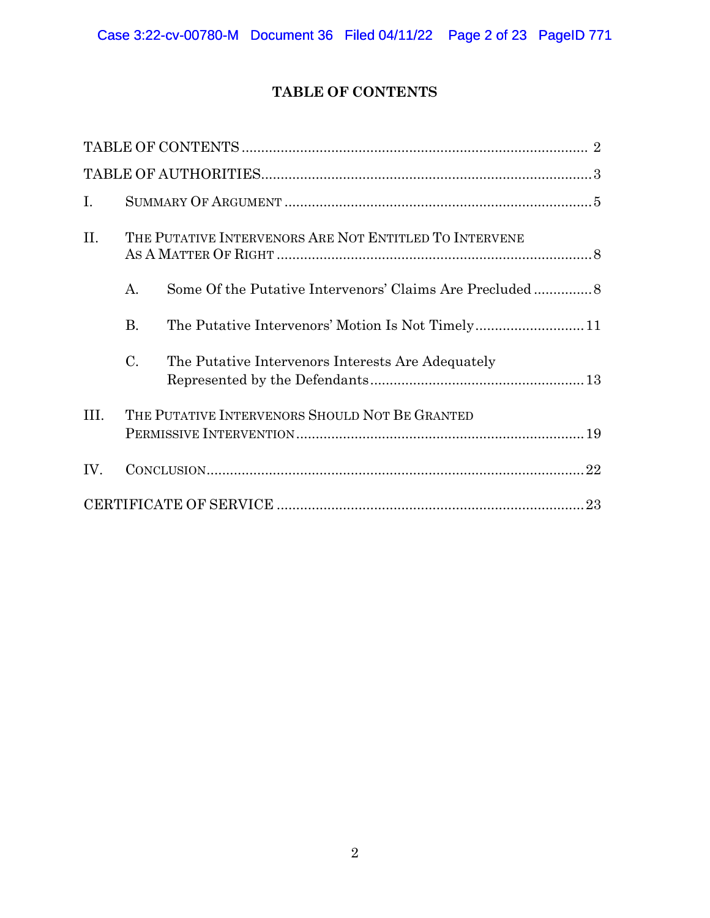# **TABLE OF CONTENTS**

| $\mathbf{I}$ . |                                                        |                                                   |  |
|----------------|--------------------------------------------------------|---------------------------------------------------|--|
| II.            | THE PUTATIVE INTERVENORS ARE NOT ENTITLED TO INTERVENE |                                                   |  |
|                | A.                                                     |                                                   |  |
|                | <b>B.</b>                                              |                                                   |  |
|                | $\mathcal{C}$ .                                        | The Putative Intervenors Interests Are Adequately |  |
| III.           |                                                        | THE PUTATIVE INTERVENORS SHOULD NOT BE GRANTED    |  |
| IV.            |                                                        |                                                   |  |
|                |                                                        |                                                   |  |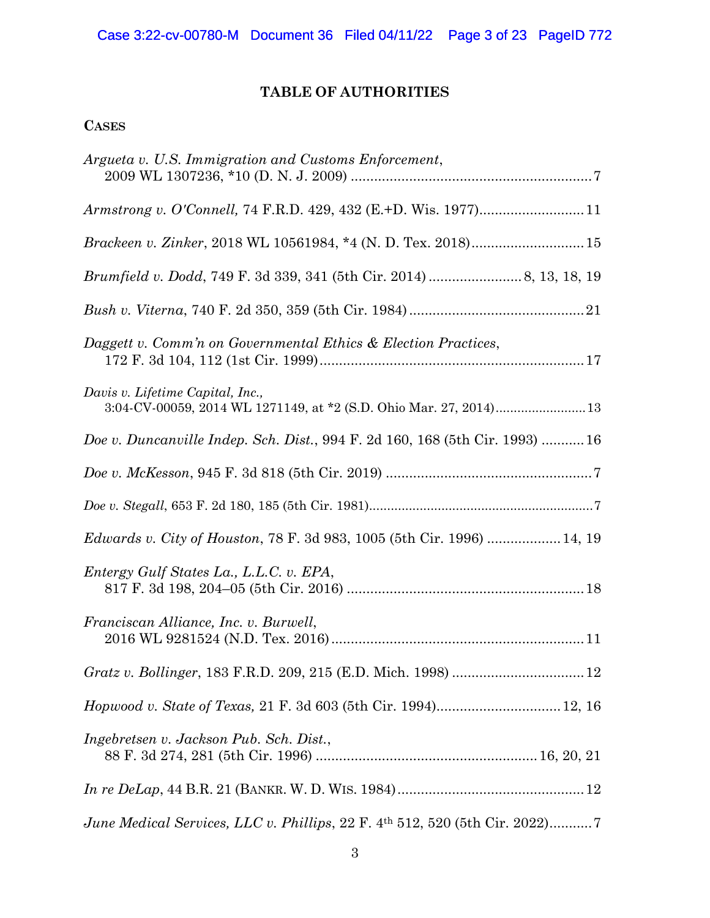# **TABLE OF AUTHORITIES**

## **CASES**

| Argueta v. U.S. Immigration and Customs Enforcement,                                                   |
|--------------------------------------------------------------------------------------------------------|
|                                                                                                        |
| Brackeen v. Zinker, 2018 WL 10561984, *4 (N. D. Tex. 2018) 15                                          |
|                                                                                                        |
|                                                                                                        |
| Daggett v. Comm'n on Governmental Ethics & Election Practices,                                         |
| Davis v. Lifetime Capital, Inc.,<br>3:04-CV-00059, 2014 WL 1271149, at *2 (S.D. Ohio Mar. 27, 2014) 13 |
| Doe v. Duncanville Indep. Sch. Dist., 994 F. 2d 160, 168 (5th Cir. 1993)  16                           |
|                                                                                                        |
|                                                                                                        |
| <i>Edwards v. City of Houston, 78 F. 3d 983, 1005 (5th Cir. 1996)  14, 19</i>                          |
| Entergy Gulf States La., L.L.C. v. EPA,                                                                |
| Franciscan Alliance, Inc. v. Burwell,                                                                  |
| Gratz v. Bollinger, 183 F.R.D. 209, 215 (E.D. Mich. 1998)  12                                          |
| Hopwood v. State of Texas, 21 F. 3d 603 (5th Cir. 1994) 12, 16                                         |
| Ingebretsen v. Jackson Pub. Sch. Dist.,                                                                |
|                                                                                                        |
| June Medical Services, LLC v. Phillips, 22 F. 4th 512, 520 (5th Cir. 2022)7                            |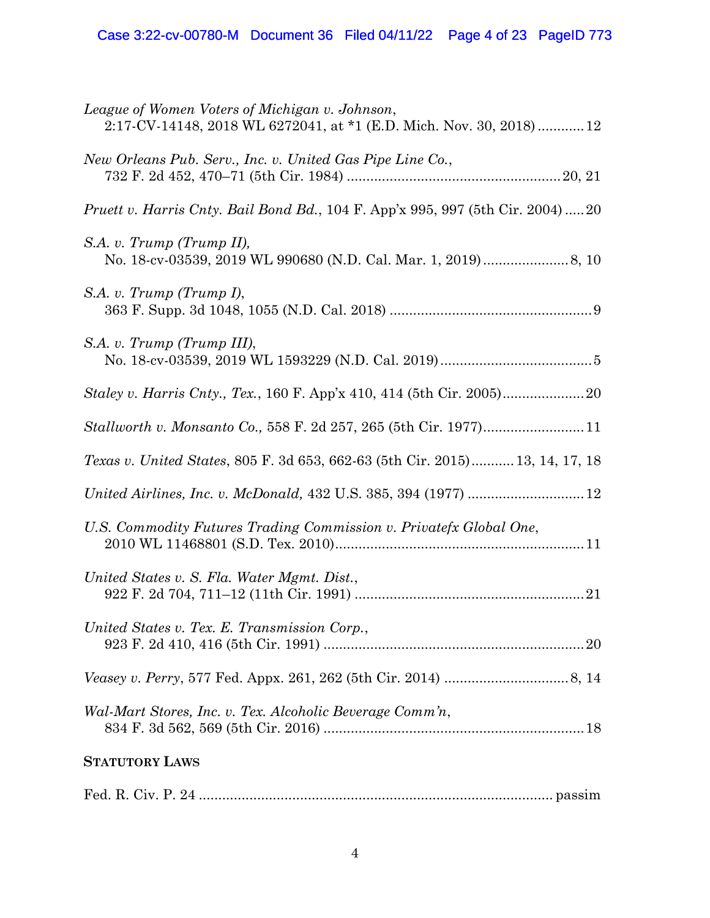| League of Women Voters of Michigan v. Johnson,<br>2:17-CV-14148, 2018 WL 6272041, at *1 (E.D. Mich. Nov. 30, 2018) 12 |
|-----------------------------------------------------------------------------------------------------------------------|
| New Orleans Pub. Serv., Inc. v. United Gas Pipe Line Co.,                                                             |
| <i>Pruett v. Harris Cnty. Bail Bond Bd.,</i> 104 F. App'x 995, 997 (5th Cir. 2004)20                                  |
| S.A. v. Trump (Trump II),                                                                                             |
| S.A. v. Trump (Trump I),                                                                                              |
| S.A. v. Trump (Trump III),                                                                                            |
| <i>Staley v. Harris Cnty., Tex., 160 F. App'x 410, 414 (5th Cir. 2005)</i>                                            |
| Stallworth v. Monsanto Co., 558 F. 2d 257, 265 (5th Cir. 1977)11                                                      |
| Texas v. United States, 805 F. 3d 653, 662-63 (5th Cir. 2015) 13, 14, 17, 18                                          |
| United Airlines, Inc. v. McDonald, 432 U.S. 385, 394 (1977)  12                                                       |
| U.S. Commodity Futures Trading Commission v. Privatefx Global One,                                                    |
| United States v. S. Fla. Water Mgmt. Dist.,                                                                           |
| United States v. Tex. E. Transmission Corp.,                                                                          |
|                                                                                                                       |
| Wal-Mart Stores, Inc. v. Tex. Alcoholic Beverage Comm'n,                                                              |
| <b>STATUTORY LAWS</b>                                                                                                 |
|                                                                                                                       |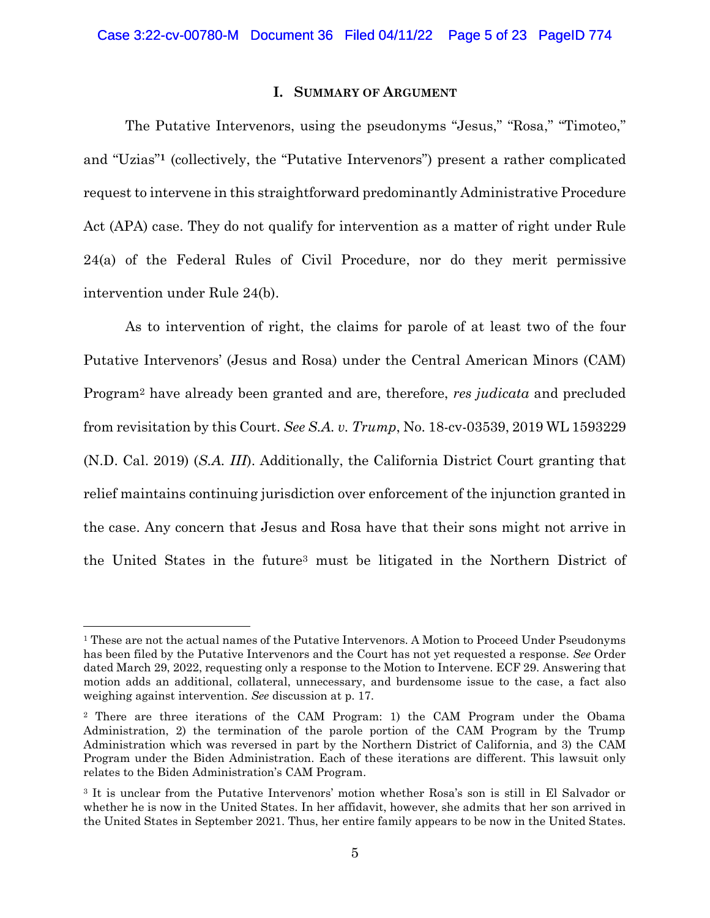## **I. SUMMARY OF ARGUMENT**

The Putative Intervenors, using the pseudonyms "Jesus," "Rosa," "Timoteo," and "Uzias"**<sup>1</sup>** (collectively, the "Putative Intervenors") present a rather complicated request to intervene in this straightforward predominantly Administrative Procedure Act (APA) case. They do not qualify for intervention as a matter of right under Rule 24(a) of the Federal Rules of Civil Procedure, nor do they merit permissive intervention under Rule 24(b).

As to intervention of right, the claims for parole of at least two of the four Putative Intervenors' (Jesus and Rosa) under the Central American Minors (CAM) Program<sup>2</sup> have already been granted and are, therefore, *res judicata* and precluded from revisitation by this Court. *See S.A. v. Trump*, No. 18-cv-03539, 2019 WL 1593229 (N.D. Cal. 2019) (*S.A. III*). Additionally, the California District Court granting that relief maintains continuing jurisdiction over enforcement of the injunction granted in the case. Any concern that Jesus and Rosa have that their sons might not arrive in the United States in the future<sup>3</sup> must be litigated in the Northern District of

<sup>&</sup>lt;sup>1</sup> These are not the actual names of the Putative Intervenors. A Motion to Proceed Under Pseudonyms has been filed by the Putative Intervenors and the Court has not yet requested a response. *See* Order dated March 29, 2022, requesting only a response to the Motion to Intervene. ECF 29. Answering that motion adds an additional, collateral, unnecessary, and burdensome issue to the case, a fact also weighing against intervention. *See* discussion at p. 17.

<sup>2</sup> There are three iterations of the CAM Program: 1) the CAM Program under the Obama Administration, 2) the termination of the parole portion of the CAM Program by the Trump Administration which was reversed in part by the Northern District of California, and 3) the CAM Program under the Biden Administration. Each of these iterations are different. This lawsuit only relates to the Biden Administration's CAM Program.

<sup>3</sup> It is unclear from the Putative Intervenors' motion whether Rosa's son is still in El Salvador or whether he is now in the United States. In her affidavit, however, she admits that her son arrived in the United States in September 2021. Thus, her entire family appears to be now in the United States.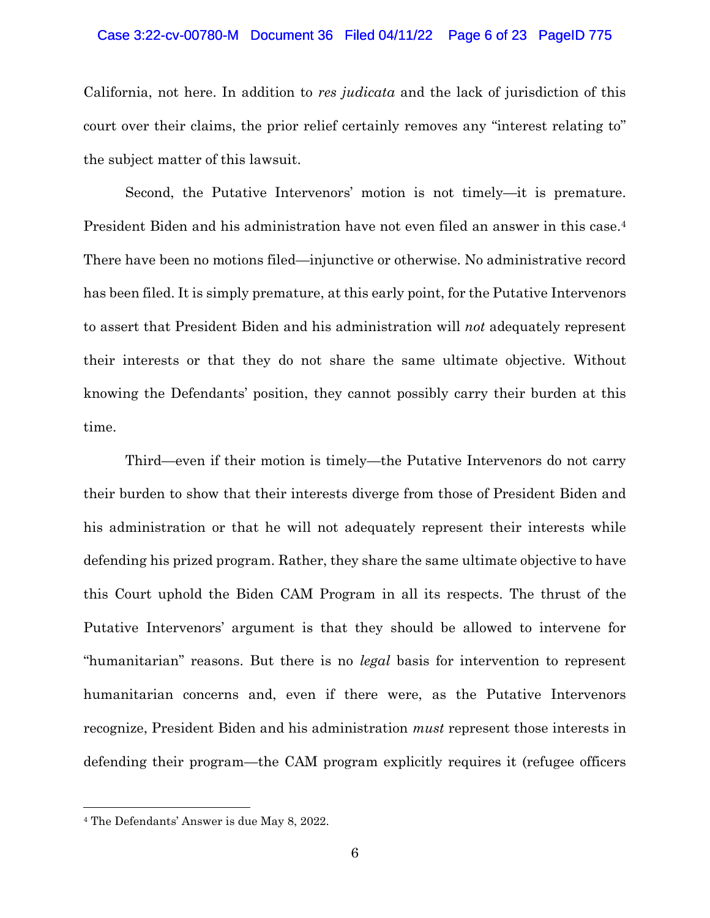### Case 3:22-cv-00780-M Document 36 Filed 04/11/22 Page 6 of 23 PageID 775

California, not here. In addition to *res judicata* and the lack of jurisdiction of this court over their claims, the prior relief certainly removes any "interest relating to" the subject matter of this lawsuit.

Second, the Putative Intervenors' motion is not timely—it is premature. President Biden and his administration have not even filed an answer in this case. 4 There have been no motions filed—injunctive or otherwise. No administrative record has been filed. It is simply premature, at this early point, for the Putative Intervenors to assert that President Biden and his administration will *not* adequately represent their interests or that they do not share the same ultimate objective. Without knowing the Defendants' position, they cannot possibly carry their burden at this time.

Third—even if their motion is timely—the Putative Intervenors do not carry their burden to show that their interests diverge from those of President Biden and his administration or that he will not adequately represent their interests while defending his prized program. Rather, they share the same ultimate objective to have this Court uphold the Biden CAM Program in all its respects. The thrust of the Putative Intervenors' argument is that they should be allowed to intervene for "humanitarian" reasons. But there is no *legal* basis for intervention to represent humanitarian concerns and, even if there were, as the Putative Intervenors recognize, President Biden and his administration *must* represent those interests in defending their program—the CAM program explicitly requires it (refugee officers

<sup>4</sup> The Defendants' Answer is due May 8, 2022.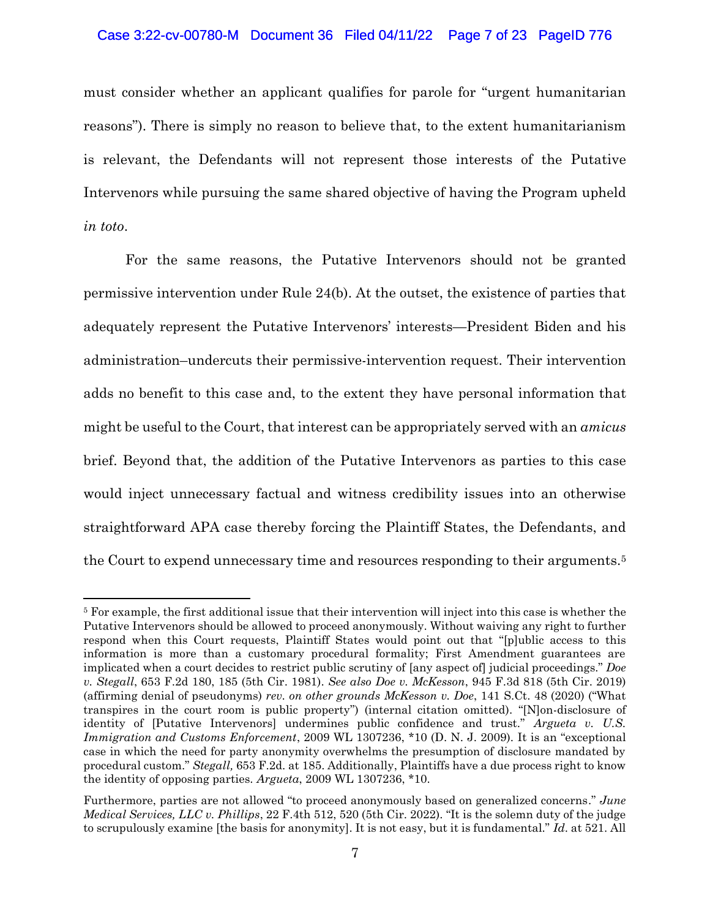## Case 3:22-cv-00780-M Document 36 Filed 04/11/22 Page 7 of 23 PageID 776

must consider whether an applicant qualifies for parole for "urgent humanitarian reasons"). There is simply no reason to believe that, to the extent humanitarianism is relevant, the Defendants will not represent those interests of the Putative Intervenors while pursuing the same shared objective of having the Program upheld *in toto*.

For the same reasons, the Putative Intervenors should not be granted permissive intervention under Rule 24(b). At the outset, the existence of parties that adequately represent the Putative Intervenors' interests—President Biden and his administration–undercuts their permissive-intervention request. Their intervention adds no benefit to this case and, to the extent they have personal information that might be useful to the Court, that interest can be appropriately served with an *amicus* brief. Beyond that, the addition of the Putative Intervenors as parties to this case would inject unnecessary factual and witness credibility issues into an otherwise straightforward APA case thereby forcing the Plaintiff States, the Defendants, and the Court to expend unnecessary time and resources responding to their arguments.<sup>5</sup>

<sup>5</sup> For example, the first additional issue that their intervention will inject into this case is whether the Putative Intervenors should be allowed to proceed anonymously. Without waiving any right to further respond when this Court requests, Plaintiff States would point out that "[p]ublic access to this information is more than a customary procedural formality; First Amendment guarantees are implicated when a court decides to restrict public scrutiny of [any aspect of] judicial proceedings." *Doe v. Stegall*, 653 F.2d 180, 185 (5th Cir. 1981). *See also Doe v. McKesson*, 945 F.3d 818 (5th Cir. 2019) (affirming denial of pseudonyms) *rev. on other grounds McKesson v. Doe*, 141 S.Ct. 48 (2020) ("What transpires in the court room is public property") (internal citation omitted). "[N]on-disclosure of identity of [Putative Intervenors] undermines public confidence and trust." *Argueta v. U.S. Immigration and Customs Enforcement*, 2009 WL 1307236, \*10 (D. N. J. 2009). It is an "exceptional case in which the need for party anonymity overwhelms the presumption of disclosure mandated by procedural custom." *Stegall,* 653 F.2d. at 185. Additionally, Plaintiffs have a due process right to know the identity of opposing parties. *Argueta*, 2009 WL 1307236, \*10.

Furthermore, parties are not allowed "to proceed anonymously based on generalized concerns." *June Medical Services, LLC v. Phillips*, 22 F.4th 512, 520 (5th Cir. 2022). "It is the solemn duty of the judge to scrupulously examine [the basis for anonymity]. It is not easy, but it is fundamental." *Id*. at 521. All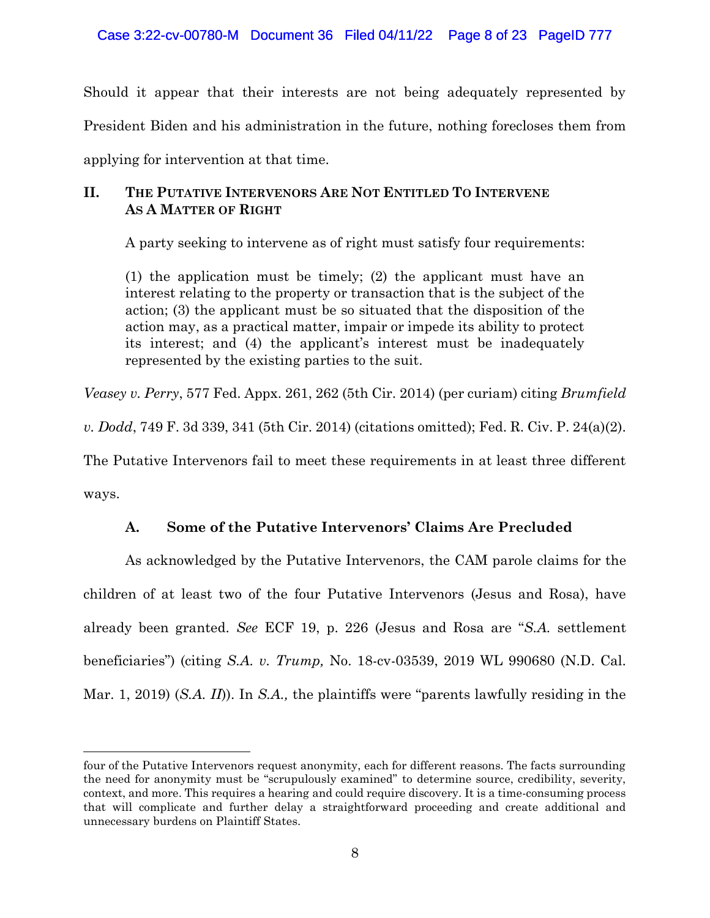Case 3:22-cv-00780-M Document 36 Filed 04/11/22 Page 8 of 23 PageID 777

Should it appear that their interests are not being adequately represented by President Biden and his administration in the future, nothing forecloses them from applying for intervention at that time.

## **II. THE PUTATIVE INTERVENORS ARE NOT ENTITLED TO INTERVENE AS A MATTER OF RIGHT**

A party seeking to intervene as of right must satisfy four requirements:

(1) the application must be timely; (2) the applicant must have an interest relating to the property or transaction that is the subject of the action; (3) the applicant must be so situated that the disposition of the action may, as a practical matter, impair or impede its ability to protect its interest; and (4) the applicant's interest must be inadequately represented by the existing parties to the suit.

*Veasey v. Perry*, 577 Fed. Appx. 261, 262 (5th Cir. 2014) (per curiam) citing *Brumfield* 

*v. Dodd*, 749 F. 3d 339, 341 (5th Cir. 2014) (citations omitted); Fed. R. Civ. P. 24(a)(2).

The Putative Intervenors fail to meet these requirements in at least three different

ways.

## **A. Some of the Putative Intervenors' Claims Are Precluded**

As acknowledged by the Putative Intervenors, the CAM parole claims for the children of at least two of the four Putative Intervenors (Jesus and Rosa), have already been granted. *See* ECF 19, p. 226 (Jesus and Rosa are "*S.A.* settlement beneficiaries") (citing *S.A. v. Trump,* No. 18-cv-03539, 2019 WL 990680 (N.D. Cal. Mar. 1, 2019) (*S.A. II*)). In *S.A.,* the plaintiffs were "parents lawfully residing in the

four of the Putative Intervenors request anonymity, each for different reasons. The facts surrounding the need for anonymity must be "scrupulously examined" to determine source, credibility, severity, context, and more. This requires a hearing and could require discovery. It is a time-consuming process that will complicate and further delay a straightforward proceeding and create additional and unnecessary burdens on Plaintiff States.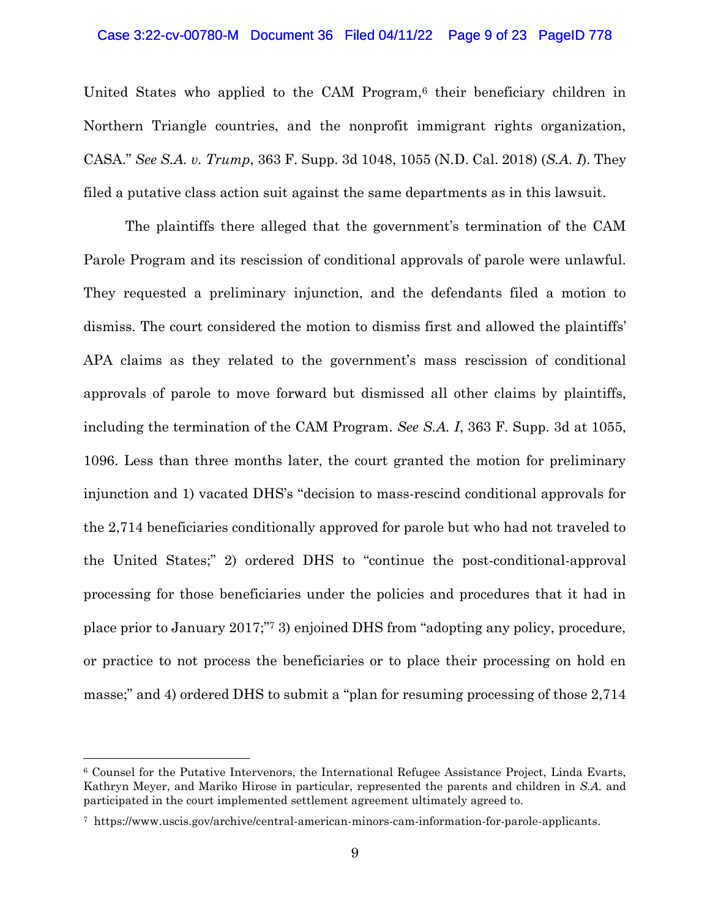### Case 3:22-cv-00780-M Document 36 Filed 04/11/22 Page 9 of 23 PageID 778

United States who applied to the CAM Program,<sup>6</sup> their beneficiary children in Northern Triangle countries, and the nonprofit immigrant rights organization, CASA." *See S.A. v. Trump*, 363 F. Supp. 3d 1048, 1055 (N.D. Cal. 2018) (*S.A. I*). They filed a putative class action suit against the same departments as in this lawsuit.

The plaintiffs there alleged that the government's termination of the CAM Parole Program and its rescission of conditional approvals of parole were unlawful. They requested a preliminary injunction, and the defendants filed a motion to dismiss. The court considered the motion to dismiss first and allowed the plaintiffs' APA claims as they related to the government's mass rescission of conditional approvals of parole to move forward but dismissed all other claims by plaintiffs, including the termination of the CAM Program. *See S.A. I*, 363 F. Supp. 3d at 1055, 1096. Less than three months later, the court granted the motion for preliminary injunction and 1) vacated DHS's "decision to mass-rescind conditional approvals for the 2,714 beneficiaries conditionally approved for parole but who had not traveled to the United States;" 2) ordered DHS to "continue the post-conditional-approval processing for those beneficiaries under the policies and procedures that it had in place prior to January 2017;" <sup>7</sup> 3) enjoined DHS from "adopting any policy, procedure, or practice to not process the beneficiaries or to place their processing on hold en masse;" and 4) ordered DHS to submit a "plan for resuming processing of those 2,714

<sup>6</sup> Counsel for the Putative Intervenors, the International Refugee Assistance Project, Linda Evarts, Kathryn Meyer, and Mariko Hirose in particular, represented the parents and children in *S.A.* and participated in the court implemented settlement agreement ultimately agreed to.

<sup>7</sup> https://www.uscis.gov/archive/central-american-minors-cam-information-for-parole-applicants.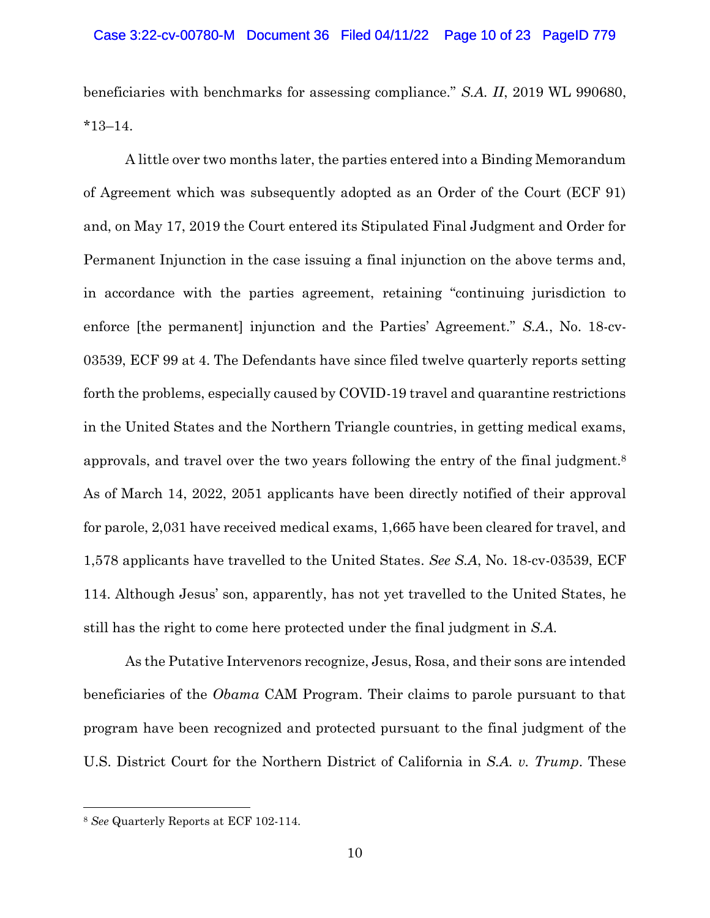beneficiaries with benchmarks for assessing compliance." *S.A. II*, 2019 WL 990680, \*13–14.

A little over two months later, the parties entered into a Binding Memorandum of Agreement which was subsequently adopted as an Order of the Court (ECF 91) and, on May 17, 2019 the Court entered its Stipulated Final Judgment and Order for Permanent Injunction in the case issuing a final injunction on the above terms and, in accordance with the parties agreement, retaining "continuing jurisdiction to enforce [the permanent] injunction and the Parties' Agreement." *S.A.*, No. 18-cv-03539, ECF 99 at 4. The Defendants have since filed twelve quarterly reports setting forth the problems, especially caused by COVID-19 travel and quarantine restrictions in the United States and the Northern Triangle countries, in getting medical exams, approvals, and travel over the two years following the entry of the final judgment.<sup>8</sup> As of March 14, 2022, 2051 applicants have been directly notified of their approval for parole, 2,031 have received medical exams, 1,665 have been cleared for travel, and 1,578 applicants have travelled to the United States. *See S.A*, No. 18-cv-03539, ECF 114. Although Jesus' son, apparently, has not yet travelled to the United States, he still has the right to come here protected under the final judgment in *S.A.*

As the Putative Intervenors recognize, Jesus, Rosa, and their sons are intended beneficiaries of the *Obama* CAM Program. Their claims to parole pursuant to that program have been recognized and protected pursuant to the final judgment of the U.S. District Court for the Northern District of California in *S.A. v. Trump*. These

<sup>8</sup> *See* Quarterly Reports at ECF 102-114.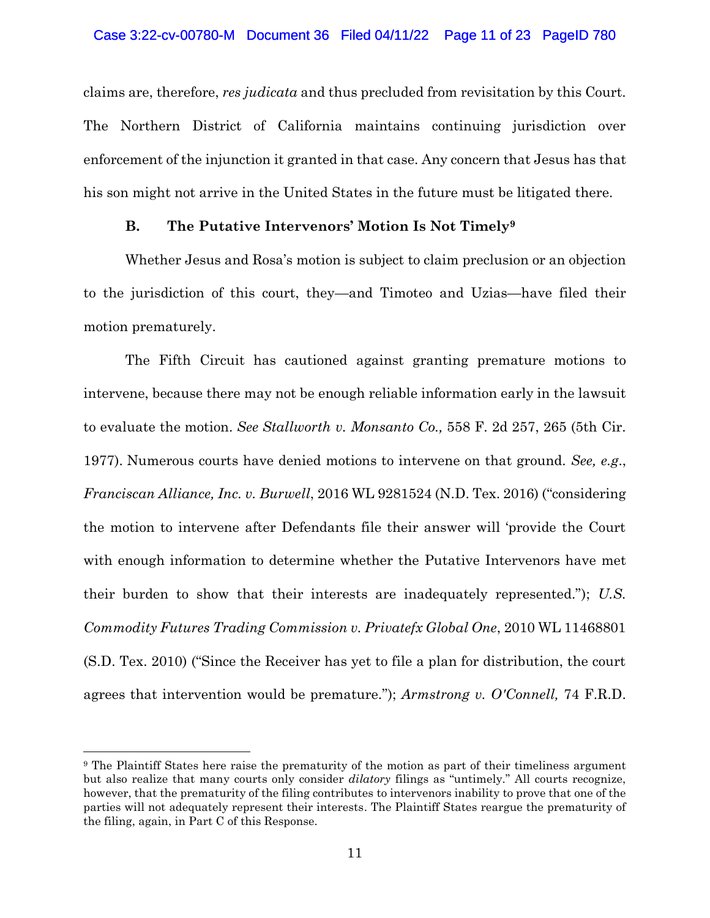claims are, therefore, *res judicata* and thus precluded from revisitation by this Court. The Northern District of California maintains continuing jurisdiction over enforcement of the injunction it granted in that case. Any concern that Jesus has that his son might not arrive in the United States in the future must be litigated there.

## **B. The Putative Intervenors' Motion Is Not Timely<sup>9</sup>**

Whether Jesus and Rosa's motion is subject to claim preclusion or an objection to the jurisdiction of this court, they—and Timoteo and Uzias—have filed their motion prematurely.

The Fifth Circuit has cautioned against granting premature motions to intervene, because there may not be enough reliable information early in the lawsuit to evaluate the motion. *See Stallworth v. Monsanto Co.,* 558 F. 2d 257, 265 (5th Cir. 1977). Numerous courts have denied motions to intervene on that ground. *See, e.g*., *Franciscan Alliance, Inc. v. Burwell*, 2016 WL 9281524 (N.D. Tex. 2016) ("considering the motion to intervene after Defendants file their answer will 'provide the Court with enough information to determine whether the Putative Intervenors have met their burden to show that their interests are inadequately represented."); *U.S. Commodity Futures Trading Commission v. Privatefx Global One*, 2010 WL 11468801 (S.D. Tex. 2010) ("Since the Receiver has yet to file a plan for distribution, the court agrees that intervention would be premature."); *Armstrong v. O'Connell,* 74 F.R.D.

<sup>9</sup> The Plaintiff States here raise the prematurity of the motion as part of their timeliness argument but also realize that many courts only consider *dilatory* filings as "untimely." All courts recognize, however, that the prematurity of the filing contributes to intervenors inability to prove that one of the parties will not adequately represent their interests. The Plaintiff States reargue the prematurity of the filing, again, in Part C of this Response.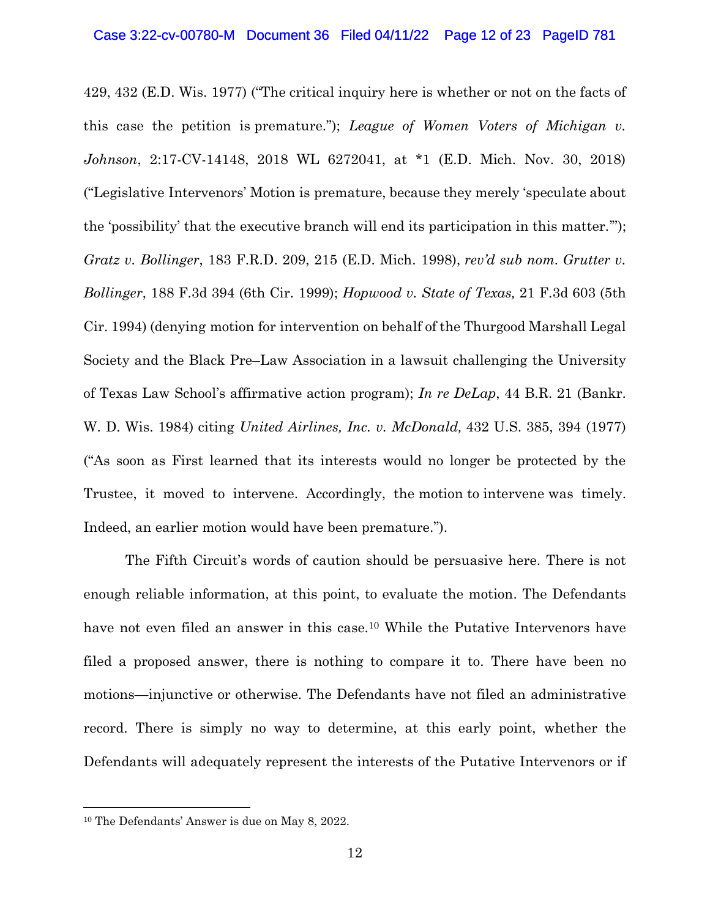429, 432 (E.D. Wis. 1977) ("The critical inquiry here is whether or not on the facts of this case the petition is premature."); *League of Women Voters of Michigan v. Johnson*, 2:17-CV-14148, 2018 WL 6272041, at \*1 (E.D. Mich. Nov. 30, 2018) ("Legislative Intervenors' Motion is premature, because they merely 'speculate about the 'possibility' that the executive branch will end its participation in this matter.'"); *Gratz v. Bollinger*, 183 F.R.D. 209, 215 (E.D. Mich. 1998), *rev'd sub nom. Grutter v. Bollinger*, 188 F.3d 394 (6th Cir. 1999); *Hopwood v. State of Texas,* 21 F.3d 603 (5th Cir. 1994) (denying motion for intervention on behalf of the Thurgood Marshall Legal Society and the Black Pre–Law Association in a lawsuit challenging the University of Texas Law School's affirmative action program); *In re DeLap*, 44 B.R. 21 (Bankr. W. D. Wis. 1984) citing *United Airlines, Inc. v. McDonald,* 432 U.S. 385, 394 (1977) ("As soon as First learned that its interests would no longer be protected by the Trustee, it moved to intervene. Accordingly, the motion to intervene was timely. Indeed, an earlier motion would have been premature.").

The Fifth Circuit's words of caution should be persuasive here. There is not enough reliable information, at this point, to evaluate the motion. The Defendants have not even filed an answer in this case.<sup>10</sup> While the Putative Intervenors have filed a proposed answer, there is nothing to compare it to. There have been no motions—injunctive or otherwise. The Defendants have not filed an administrative record. There is simply no way to determine, at this early point, whether the Defendants will adequately represent the interests of the Putative Intervenors or if

<sup>10</sup> The Defendants' Answer is due on May 8, 2022.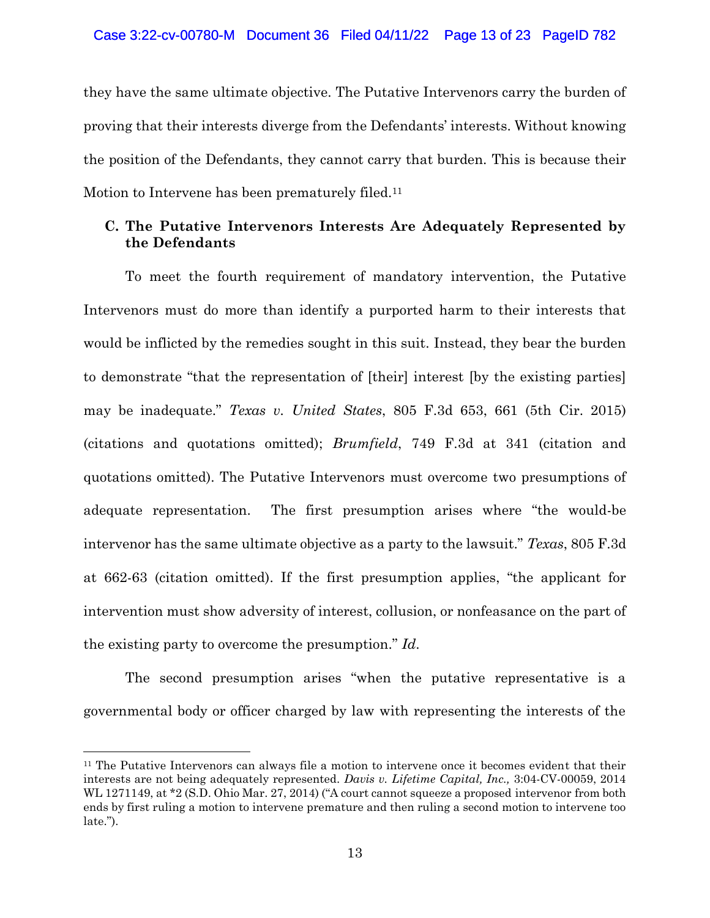they have the same ultimate objective. The Putative Intervenors carry the burden of proving that their interests diverge from the Defendants' interests. Without knowing the position of the Defendants, they cannot carry that burden. This is because their Motion to Intervene has been prematurely filed.<sup>11</sup>

## **C. The Putative Intervenors Interests Are Adequately Represented by the Defendants**

To meet the fourth requirement of mandatory intervention, the Putative Intervenors must do more than identify a purported harm to their interests that would be inflicted by the remedies sought in this suit. Instead, they bear the burden to demonstrate "that the representation of [their] interest [by the existing parties] may be inadequate." *Texas v. United States*, 805 F.3d 653, 661 (5th Cir. 2015) (citations and quotations omitted); *Brumfield*, 749 F.3d at 341 (citation and quotations omitted). The Putative Intervenors must overcome two presumptions of adequate representation. The first presumption arises where "the would-be intervenor has the same ultimate objective as a party to the lawsuit." *Texas*, 805 F.3d at 662-63 (citation omitted). If the first presumption applies, "the applicant for intervention must show adversity of interest, collusion, or nonfeasance on the part of the existing party to overcome the presumption." *Id*.

The second presumption arises "when the putative representative is a governmental body or officer charged by law with representing the interests of the

<sup>&</sup>lt;sup>11</sup> The Putative Intervenors can always file a motion to intervene once it becomes evident that their interests are not being adequately represented. *Davis v. Lifetime Capital, Inc.,* 3:04-CV-00059, 2014 WL 1271149, at \*2 (S.D. Ohio Mar. 27, 2014) ("A court cannot squeeze a proposed intervenor from both ends by first ruling a motion to intervene premature and then ruling a second motion to intervene too late.").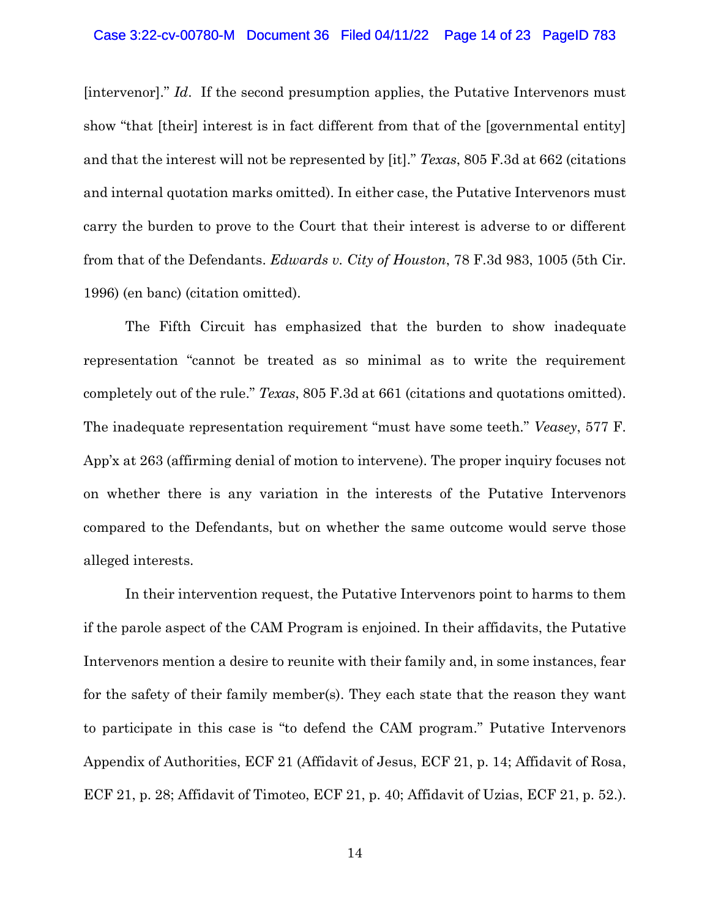[intervenor]." *Id*. If the second presumption applies, the Putative Intervenors must show "that [their] interest is in fact different from that of the [governmental entity] and that the interest will not be represented by [it]." *Texas*, 805 F.3d at 662 (citations and internal quotation marks omitted). In either case, the Putative Intervenors must carry the burden to prove to the Court that their interest is adverse to or different from that of the Defendants. *Edwards v. City of Houston*, 78 F.3d 983, 1005 (5th Cir. 1996) (en banc) (citation omitted).

The Fifth Circuit has emphasized that the burden to show inadequate representation "cannot be treated as so minimal as to write the requirement completely out of the rule." *Texas*, 805 F.3d at 661 (citations and quotations omitted). The inadequate representation requirement "must have some teeth." *Veasey*, 577 F. App'x at 263 (affirming denial of motion to intervene). The proper inquiry focuses not on whether there is any variation in the interests of the Putative Intervenors compared to the Defendants, but on whether the same outcome would serve those alleged interests.

In their intervention request, the Putative Intervenors point to harms to them if the parole aspect of the CAM Program is enjoined. In their affidavits, the Putative Intervenors mention a desire to reunite with their family and, in some instances, fear for the safety of their family member(s). They each state that the reason they want to participate in this case is "to defend the CAM program." Putative Intervenors Appendix of Authorities, ECF 21 (Affidavit of Jesus, ECF 21, p. 14; Affidavit of Rosa, ECF 21, p. 28; Affidavit of Timoteo, ECF 21, p. 40; Affidavit of Uzias, ECF 21, p. 52.).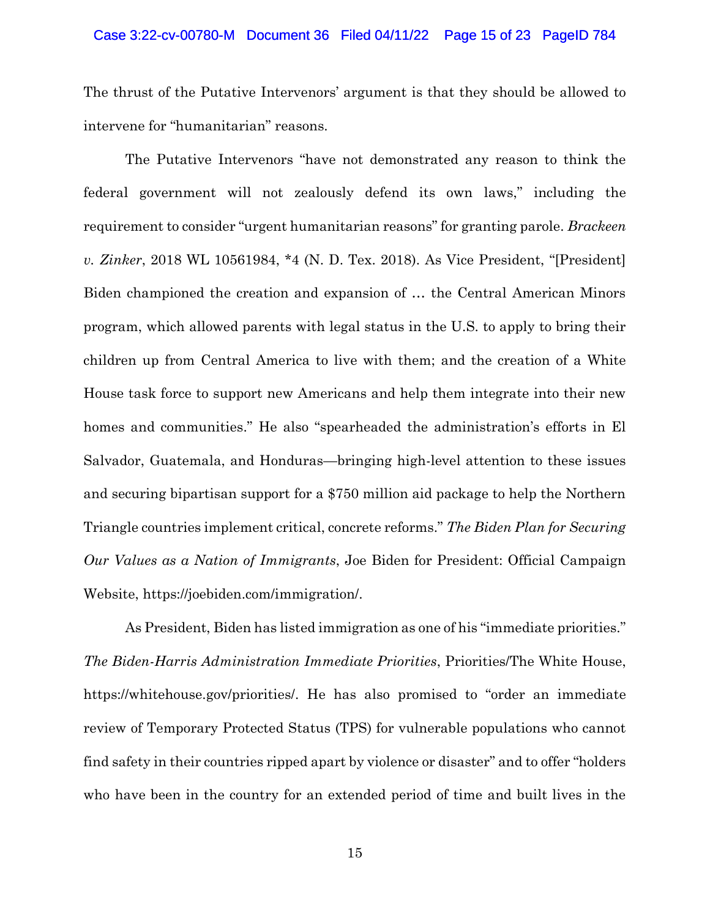#### Case 3:22-cv-00780-M Document 36 Filed 04/11/22 Page 15 of 23 PageID 784

The thrust of the Putative Intervenors' argument is that they should be allowed to intervene for "humanitarian" reasons.

The Putative Intervenors "have not demonstrated any reason to think the federal government will not zealously defend its own laws," including the requirement to consider "urgent humanitarian reasons" for granting parole. *Brackeen v. Zinker*, 2018 WL 10561984, \*4 (N. D. Tex. 2018). As Vice President, "[President] Biden championed the creation and expansion of … the Central American Minors program, which allowed parents with legal status in the U.S. to apply to bring their children up from Central America to live with them; and the creation of a White House task force to support new Americans and help them integrate into their new homes and communities." He also "spearheaded the administration's efforts in El Salvador, Guatemala, and Honduras—bringing high-level attention to these issues and securing bipartisan support for a \$750 million aid package to help the Northern Triangle countries implement critical, concrete reforms." *The Biden Plan for Securing Our Values as a Nation of Immigrants*, Joe Biden for President: Official Campaign Website, https://joebiden.com/immigration/.

As President, Biden has listed immigration as one of his "immediate priorities." *The Biden-Harris Administration Immediate Priorities*, Priorities/The White House, https://whitehouse.gov/priorities/. He has also promised to "order an immediate review of Temporary Protected Status (TPS) for vulnerable populations who cannot find safety in their countries ripped apart by violence or disaster" and to offer "holders who have been in the country for an extended period of time and built lives in the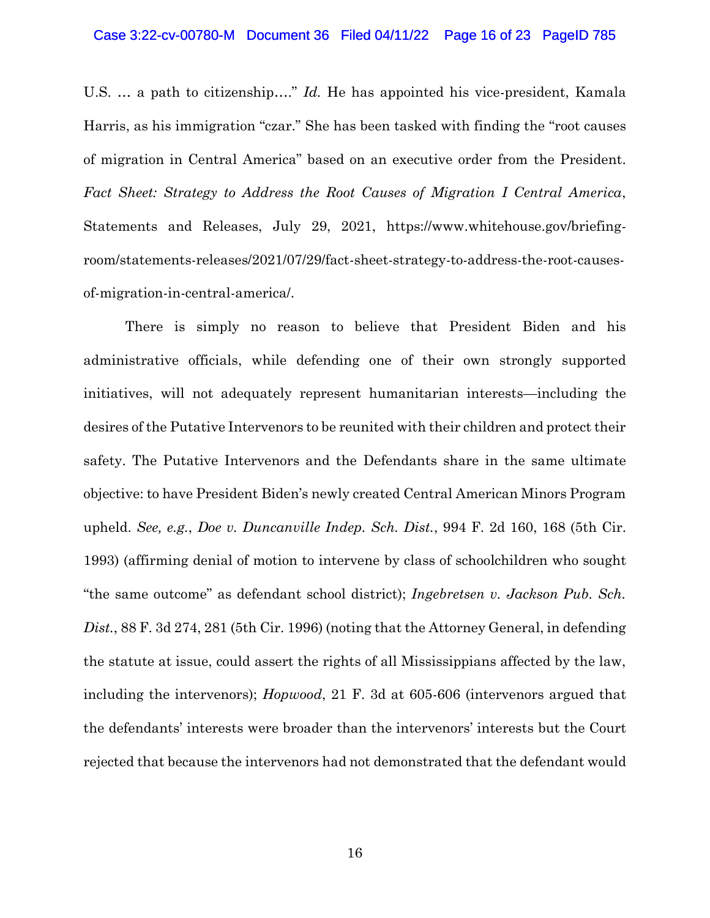#### Case 3:22-cv-00780-M Document 36 Filed 04/11/22 Page 16 of 23 PageID 785

U.S. … a path to citizenship…." *Id.* He has appointed his vice-president, Kamala Harris, as his immigration "czar." She has been tasked with finding the "root causes of migration in Central America" based on an executive order from the President. *Fact Sheet: Strategy to Address the Root Causes of Migration I Central America*, Statements and Releases, July 29, 2021, https://www.whitehouse.gov/briefingroom/statements-releases/2021/07/29/fact-sheet-strategy-to-address-the-root-causesof-migration-in-central-america/.

There is simply no reason to believe that President Biden and his administrative officials, while defending one of their own strongly supported initiatives, will not adequately represent humanitarian interests—including the desires of the Putative Intervenors to be reunited with their children and protect their safety. The Putative Intervenors and the Defendants share in the same ultimate objective: to have President Biden's newly created Central American Minors Program upheld. *See, e.g.*, *Doe v. Duncanville Indep. Sch. Dist.*, 994 F. 2d 160, 168 (5th Cir. 1993) (affirming denial of motion to intervene by class of schoolchildren who sought "the same outcome" as defendant school district); *Ingebretsen v. Jackson Pub. Sch. Dist.*, 88 F. 3d 274, 281 (5th Cir. 1996) (noting that the Attorney General, in defending the statute at issue, could assert the rights of all Mississippians affected by the law, including the intervenors); *Hopwood*, 21 F. 3d at 605-606 (intervenors argued that the defendants' interests were broader than the intervenors' interests but the Court rejected that because the intervenors had not demonstrated that the defendant would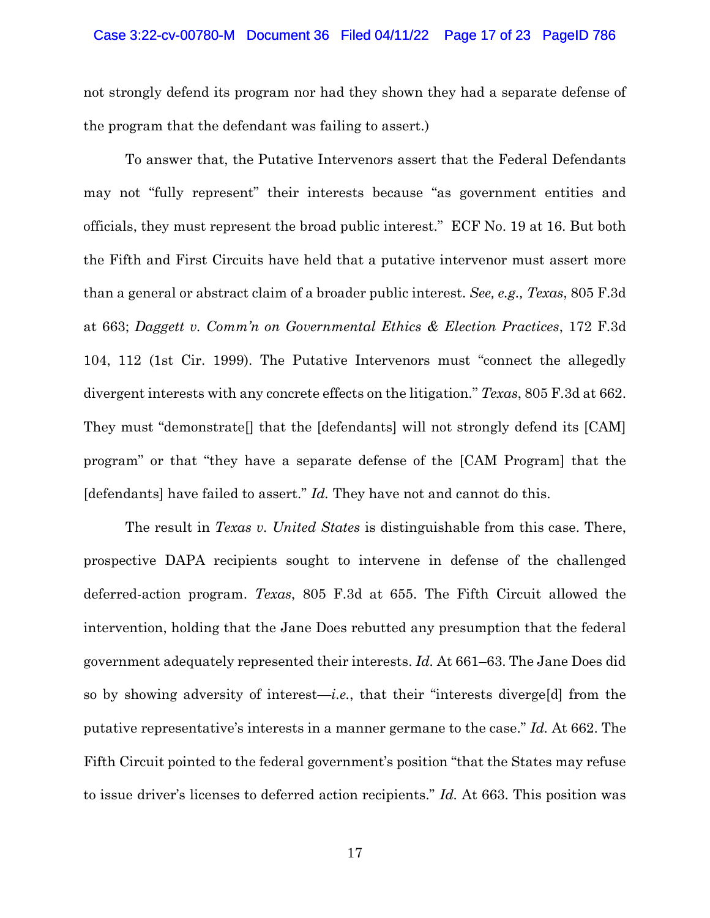#### Case 3:22-cv-00780-M Document 36 Filed 04/11/22 Page 17 of 23 PageID 786

not strongly defend its program nor had they shown they had a separate defense of the program that the defendant was failing to assert.)

To answer that, the Putative Intervenors assert that the Federal Defendants may not "fully represent" their interests because "as government entities and officials, they must represent the broad public interest." ECF No. 19 at 16. But both the Fifth and First Circuits have held that a putative intervenor must assert more than a general or abstract claim of a broader public interest. *See, e.g., Texas*, 805 F.3d at 663; *Daggett v. Comm'n on Governmental Ethics & Election Practices*, 172 F.3d 104, 112 (1st Cir. 1999). The Putative Intervenors must "connect the allegedly divergent interests with any concrete effects on the litigation." *Texas*, 805 F.3d at 662. They must "demonstrate<sup>[]</sup> that the [defendants] will not strongly defend its [CAM] program" or that "they have a separate defense of the [CAM Program] that the [defendants] have failed to assert." *Id.* They have not and cannot do this.

The result in *Texas v. United States* is distinguishable from this case. There, prospective DAPA recipients sought to intervene in defense of the challenged deferred-action program. *Texas*, 805 F.3d at 655. The Fifth Circuit allowed the intervention, holding that the Jane Does rebutted any presumption that the federal government adequately represented their interests. *Id.* At 661–63. The Jane Does did so by showing adversity of interest—*i.e.*, that their "interests diverge[d] from the putative representative's interests in a manner germane to the case." *Id.* At 662. The Fifth Circuit pointed to the federal government's position "that the States may refuse to issue driver's licenses to deferred action recipients." *Id.* At 663. This position was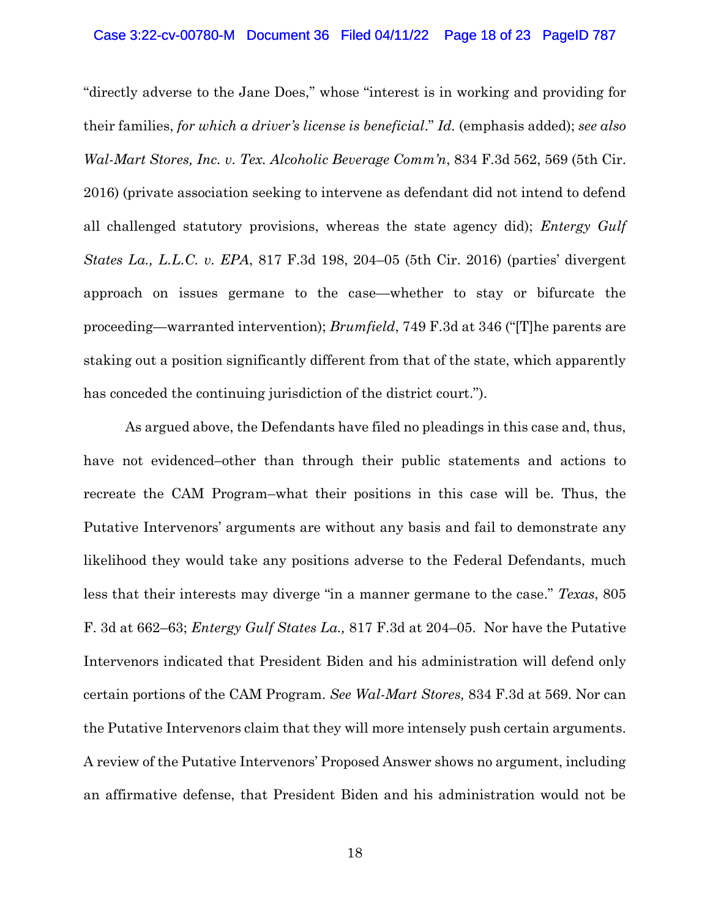#### Case 3:22-cv-00780-M Document 36 Filed 04/11/22 Page 18 of 23 PageID 787

"directly adverse to the Jane Does," whose "interest is in working and providing for their families, *for which a driver's license is beneficial*." *Id.* (emphasis added); *see also Wal-Mart Stores, Inc. v. Tex. Alcoholic Beverage Comm'n*, 834 F.3d 562, 569 (5th Cir. 2016) (private association seeking to intervene as defendant did not intend to defend all challenged statutory provisions, whereas the state agency did); *Entergy Gulf States La., L.L.C. v. EPA*, 817 F.3d 198, 204–05 (5th Cir. 2016) (parties' divergent approach on issues germane to the case—whether to stay or bifurcate the proceeding—warranted intervention); *Brumfield*, 749 F.3d at 346 ("[T]he parents are staking out a position significantly different from that of the state, which apparently has conceded the continuing jurisdiction of the district court.").

As argued above, the Defendants have filed no pleadings in this case and, thus, have not evidenced–other than through their public statements and actions to recreate the CAM Program–what their positions in this case will be. Thus, the Putative Intervenors' arguments are without any basis and fail to demonstrate any likelihood they would take any positions adverse to the Federal Defendants, much less that their interests may diverge "in a manner germane to the case." *Texas*, 805 F. 3d at 662–63; *Entergy Gulf States La.,* 817 F.3d at 204–05. Nor have the Putative Intervenors indicated that President Biden and his administration will defend only certain portions of the CAM Program. *See Wal-Mart Stores,* 834 F.3d at 569. Nor can the Putative Intervenors claim that they will more intensely push certain arguments. A review of the Putative Intervenors' Proposed Answer shows no argument, including an affirmative defense, that President Biden and his administration would not be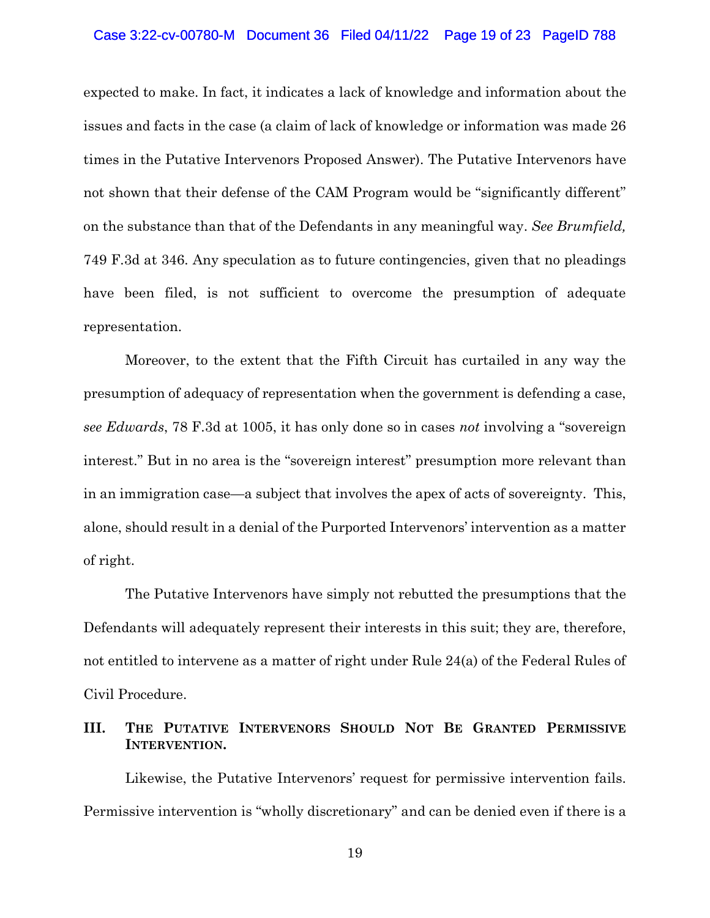### Case 3:22-cv-00780-M Document 36 Filed 04/11/22 Page 19 of 23 PageID 788

expected to make. In fact, it indicates a lack of knowledge and information about the issues and facts in the case (a claim of lack of knowledge or information was made 26 times in the Putative Intervenors Proposed Answer). The Putative Intervenors have not shown that their defense of the CAM Program would be "significantly different" on the substance than that of the Defendants in any meaningful way. *See Brumfield,* 749 F.3d at 346. Any speculation as to future contingencies, given that no pleadings have been filed, is not sufficient to overcome the presumption of adequate representation.

Moreover, to the extent that the Fifth Circuit has curtailed in any way the presumption of adequacy of representation when the government is defending a case, *see Edwards*, 78 F.3d at 1005, it has only done so in cases *not* involving a "sovereign interest." But in no area is the "sovereign interest" presumption more relevant than in an immigration case—a subject that involves the apex of acts of sovereignty. This, alone, should result in a denial of the Purported Intervenors' intervention as a matter of right.

The Putative Intervenors have simply not rebutted the presumptions that the Defendants will adequately represent their interests in this suit; they are, therefore, not entitled to intervene as a matter of right under Rule 24(a) of the Federal Rules of Civil Procedure.

## **III. THE PUTATIVE INTERVENORS SHOULD NOT BE GRANTED PERMISSIVE INTERVENTION.**

Likewise, the Putative Intervenors' request for permissive intervention fails. Permissive intervention is "wholly discretionary" and can be denied even if there is a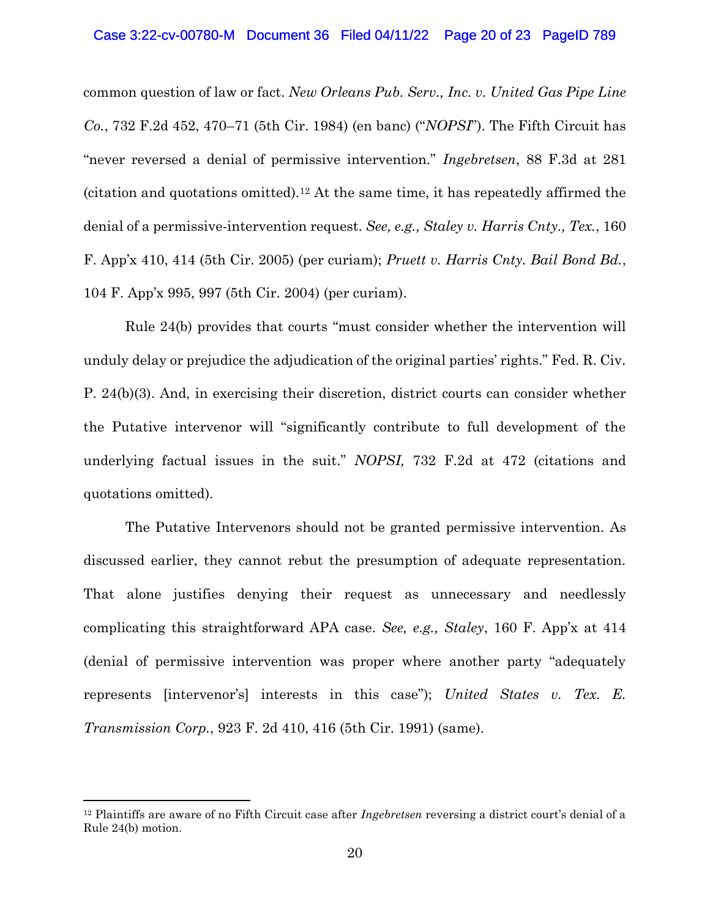common question of law or fact. *New Orleans Pub. Serv., Inc. v. United Gas Pipe Line Co.*, 732 F.2d 452, 470–71 (5th Cir. 1984) (en banc) ("*NOPSI*"). The Fifth Circuit has "never reversed a denial of permissive intervention." *Ingebretsen*, 88 F.3d at 281 (citation and quotations omitted).<sup>12</sup> At the same time, it has repeatedly affirmed the denial of a permissive-intervention request. *See, e.g., Staley v. Harris Cnty., Tex.*, 160 F. App'x 410, 414 (5th Cir. 2005) (per curiam); *Pruett v. Harris Cnty. Bail Bond Bd.*, 104 F. App'x 995, 997 (5th Cir. 2004) (per curiam).

Rule 24(b) provides that courts "must consider whether the intervention will unduly delay or prejudice the adjudication of the original parties' rights." Fed. R. Civ. P. 24(b)(3). And, in exercising their discretion, district courts can consider whether the Putative intervenor will "significantly contribute to full development of the underlying factual issues in the suit." *NOPSI,* 732 F.2d at 472 (citations and quotations omitted).

The Putative Intervenors should not be granted permissive intervention. As discussed earlier, they cannot rebut the presumption of adequate representation. That alone justifies denying their request as unnecessary and needlessly complicating this straightforward APA case. *See, e.g., Staley*, 160 F. App'x at 414 (denial of permissive intervention was proper where another party "adequately represents [intervenor's] interests in this case"); *United States v. Tex. E. Transmission Corp.*, 923 F. 2d 410, 416 (5th Cir. 1991) (same).

<sup>12</sup> Plaintiffs are aware of no Fifth Circuit case after *Ingebretsen* reversing a district court's denial of a Rule 24(b) motion.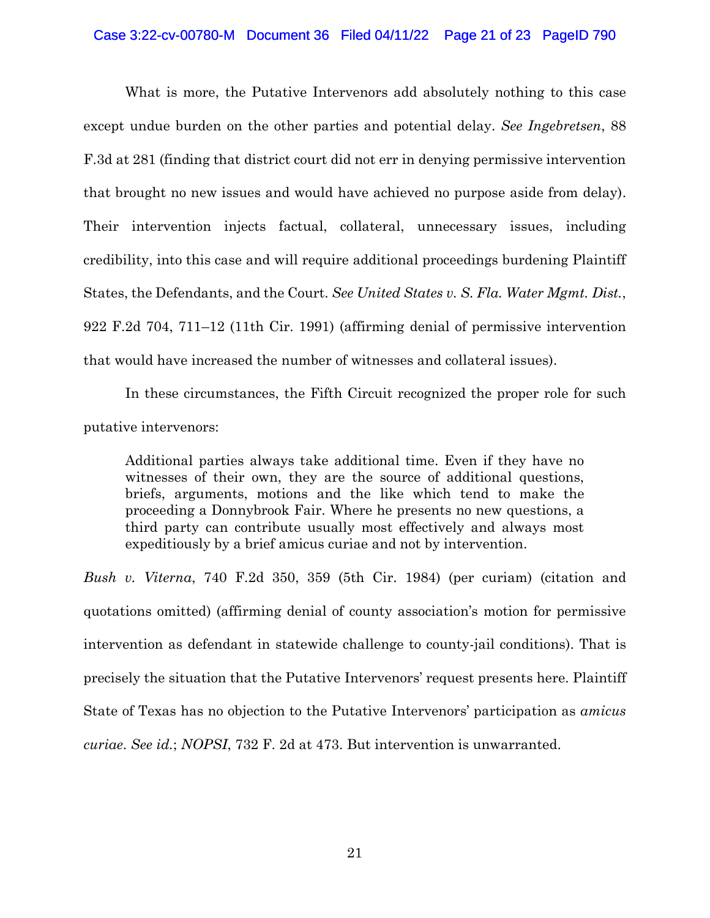## Case 3:22-cv-00780-M Document 36 Filed 04/11/22 Page 21 of 23 PageID 790

What is more, the Putative Intervenors add absolutely nothing to this case except undue burden on the other parties and potential delay. *See Ingebretsen*, 88 F.3d at 281 (finding that district court did not err in denying permissive intervention that brought no new issues and would have achieved no purpose aside from delay). Their intervention injects factual, collateral, unnecessary issues, including credibility, into this case and will require additional proceedings burdening Plaintiff States, the Defendants, and the Court. *See United States v. S. Fla. Water Mgmt. Dist.*, 922 F.2d 704, 711–12 (11th Cir. 1991) (affirming denial of permissive intervention that would have increased the number of witnesses and collateral issues).

In these circumstances, the Fifth Circuit recognized the proper role for such putative intervenors:

Additional parties always take additional time. Even if they have no witnesses of their own, they are the source of additional questions, briefs, arguments, motions and the like which tend to make the proceeding a Donnybrook Fair. Where he presents no new questions, a third party can contribute usually most effectively and always most expeditiously by a brief amicus curiae and not by intervention.

*Bush v. Viterna*, 740 F.2d 350, 359 (5th Cir. 1984) (per curiam) (citation and quotations omitted) (affirming denial of county association's motion for permissive intervention as defendant in statewide challenge to county-jail conditions). That is precisely the situation that the Putative Intervenors' request presents here. Plaintiff State of Texas has no objection to the Putative Intervenors' participation as *amicus curiae*. *See id.*; *NOPSI*, 732 F. 2d at 473. But intervention is unwarranted.

21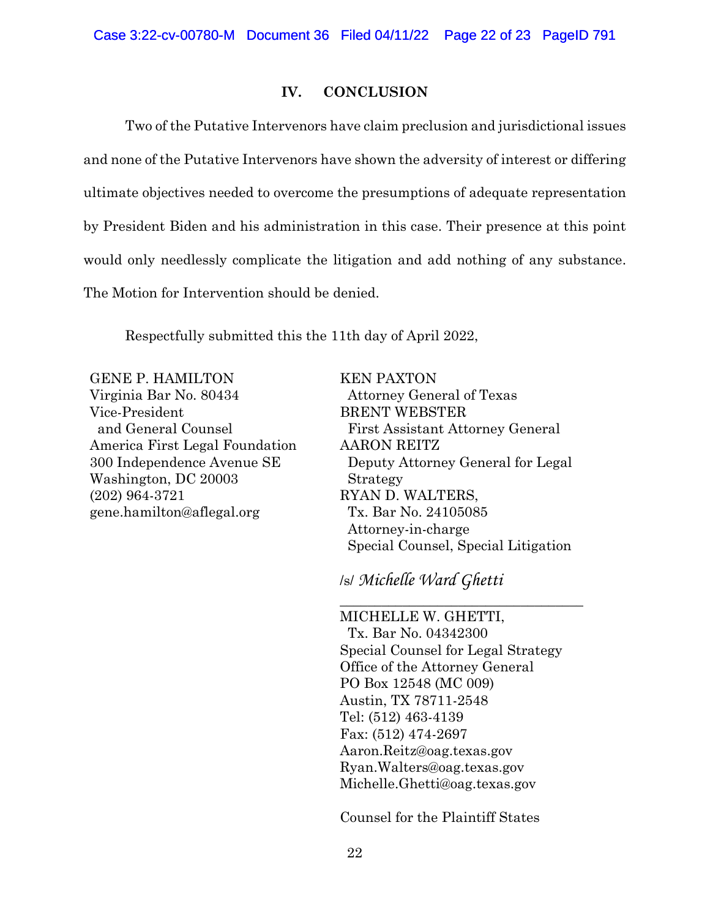## **IV. CONCLUSION**

Two of the Putative Intervenors have claim preclusion and jurisdictional issues and none of the Putative Intervenors have shown the adversity of interest or differing ultimate objectives needed to overcome the presumptions of adequate representation by President Biden and his administration in this case. Their presence at this point would only needlessly complicate the litigation and add nothing of any substance. The Motion for Intervention should be denied.

Respectfully submitted this the 11th day of April 2022,

GENE P. HAMILTON Virginia Bar No. 80434 Vice-President and General Counsel America First Legal Foundation 300 Independence Avenue SE Washington, DC 20003 (202) 964-3721 gene.hamilton@aflegal.org

KEN PAXTON Attorney General of Texas BRENT WEBSTER First Assistant Attorney General AARON REITZ Deputy Attorney General for Legal Strategy RYAN D. WALTERS, Tx. Bar No. 24105085 Attorney-in-charge Special Counsel, Special Litigation

\_\_\_\_\_\_\_\_\_\_\_\_\_\_\_\_\_\_\_\_\_\_\_\_\_\_\_\_\_\_\_\_\_\_\_

/s/ *Michelle Ward Ghetti* 

MICHELLE W. GHETTI, Tx. Bar No. 04342300 Special Counsel for Legal Strategy Office of the Attorney General PO Box 12548 (MC 009) Austin, TX 78711-2548 Tel: (512) 463-4139 Fax: (512) 474-2697 Aaron.Reitz@oag.texas.gov Ryan.Walters@oag.texas.gov Michelle.Ghetti@oag.texas.gov

Counsel for the Plaintiff States